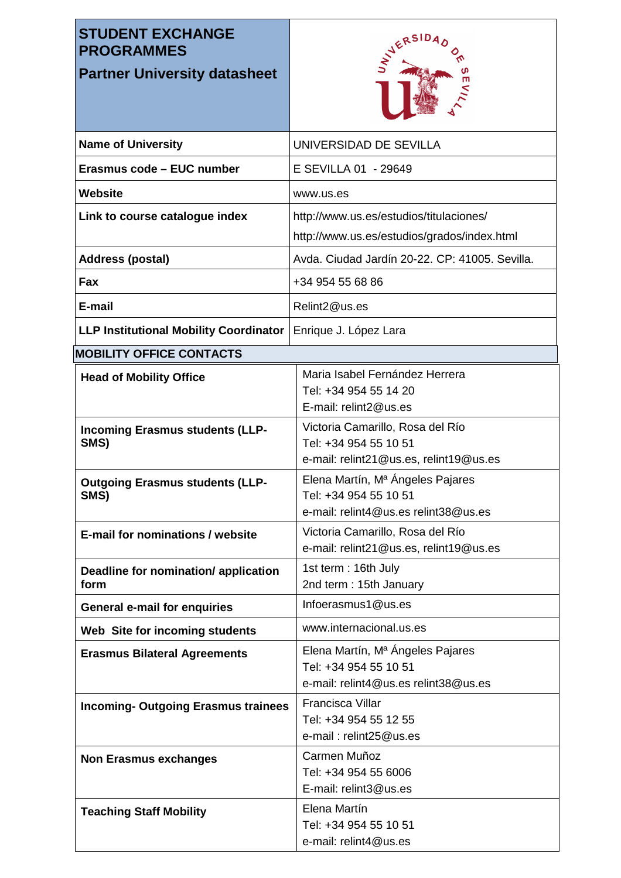## **STUDENT EXCHANGE PROGRAMMES**

## **Partner University datasheet**



| <b>Name of University</b>                      | UNIVERSIDAD DE SEVILLA                                                                              |
|------------------------------------------------|-----------------------------------------------------------------------------------------------------|
| Erasmus code - EUC number                      | E SEVILLA 01 - 29649                                                                                |
| Website                                        | www.us.es                                                                                           |
| Link to course catalogue index                 | http://www.us.es/estudios/titulaciones/                                                             |
|                                                | http://www.us.es/estudios/grados/index.html                                                         |
| <b>Address (postal)</b>                        | Avda. Ciudad Jardín 20-22. CP: 41005. Sevilla.                                                      |
| Fax                                            | +34 954 55 68 86                                                                                    |
| E-mail                                         | Relint2@us.es                                                                                       |
| <b>LLP Institutional Mobility Coordinator</b>  | Enrique J. López Lara                                                                               |
| <b>MOBILITY OFFICE CONTACTS</b>                |                                                                                                     |
| <b>Head of Mobility Office</b>                 | Maria Isabel Fernández Herrera<br>Tel: +34 954 55 14 20<br>E-mail: relint2@us.es                    |
| <b>Incoming Erasmus students (LLP-</b><br>SMS) | Victoria Camarillo, Rosa del Río<br>Tel: +34 954 55 10 51<br>e-mail: relint21@us.es, relint19@us.es |
| <b>Outgoing Erasmus students (LLP-</b><br>SMS) | Elena Martín, Mª Ángeles Pajares<br>Tel: +34 954 55 10 51<br>e-mail: relint4@us.es relint38@us.es   |
| <b>E-mail for nominations / website</b>        | Victoria Camarillo, Rosa del Río<br>e-mail: relint21@us.es, relint19@us.es                          |
| Deadline for nomination/ application<br>form   | 1st term: 16th July<br>2nd term: 15th January                                                       |
| <b>General e-mail for enquiries</b>            | Infoerasmus1@us.es                                                                                  |
| Web Site for incoming students                 | www.internacional.us.es                                                                             |
| <b>Erasmus Bilateral Agreements</b>            | Elena Martín, Mª Ángeles Pajares<br>Tel: +34 954 55 10 51<br>e-mail: relint4@us.es relint38@us.es   |
| <b>Incoming- Outgoing Erasmus trainees</b>     | <b>Francisca Villar</b><br>Tel: +34 954 55 12 55<br>e-mail: relint25@us.es                          |
| <b>Non Erasmus exchanges</b>                   | Carmen Muñoz<br>Tel: +34 954 55 6006<br>E-mail: relint3@us.es                                       |
| <b>Teaching Staff Mobility</b>                 | Elena Martín<br>Tel: +34 954 55 10 51<br>e-mail: relint4@us.es                                      |